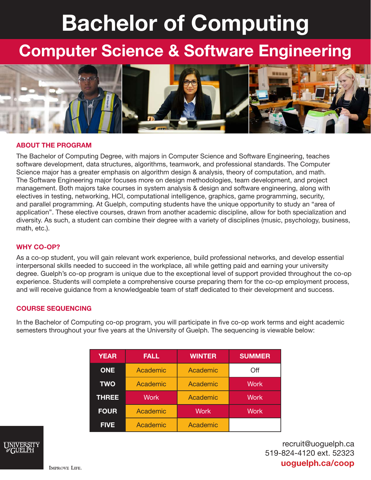# Bachelor of Computing

## Computer Science & Software Engineering



#### ABOUT THE PROGRAM

The Bachelor of Computing Degree, with majors in Computer Science and Software Engineering, teaches software development, data structures, algorithms, teamwork, and professional standards. The Computer Science major has a greater emphasis on algorithm design & analysis, theory of computation, and math. The Software Engineering major focuses more on design methodologies, team development, and project management. Both majors take courses in system analysis & design and software engineering, along with electives in testing, networking, HCI, computational intelligence, graphics, game programming, security, and parallel programming. At Guelph, computing students have the unique opportunity to study an "area of application". These elective courses, drawn from another academic discipline, allow for both specialization and diversity. As such, a student can combine their degree with a variety of disciplines (music, psychology, business, math, etc.).

#### WHY CO-OP?

As a co-op student, you will gain relevant work experience, build professional networks, and develop essential interpersonal skills needed to succeed in the workplace, all while getting paid and earning your university degree. Guelph's co-op program is unique due to the exceptional level of support provided throughout the co-op experience. Students will complete a comprehensive course preparing them for the co-op employment process, and will receive guidance from a knowledgeable team of staff dedicated to their development and success.

#### COURSE SEQUENCING

In the Bachelor of Computing co-op program, you will participate in five co-op work terms and eight academic semesters throughout your five years at the University of Guelph. The sequencing is viewable below:

| <b>YEAR</b>  | <b>FALL</b> | <b>WINTER</b> | <b>SUMMER</b> |
|--------------|-------------|---------------|---------------|
| <b>ONE</b>   | Academic    | Academic      | Off           |
| <b>TWO</b>   | Academic    | Academic      | <b>Work</b>   |
| <b>THREE</b> | <b>Work</b> | Academic      | <b>Work</b>   |
| <b>FOUR</b>  | Academic    | <b>Work</b>   | <b>Work</b>   |
| <b>FIVE</b>  | Academic    | Academic      |               |



recruit@uoguelph.ca 519-824-4120 ext. 52323 uoguelph.ca/coop